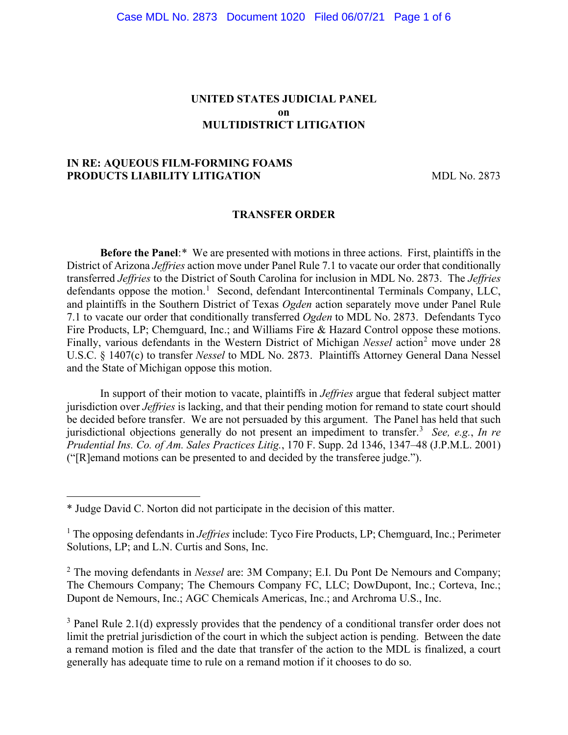# **UNITED STATES JUDICIAL PANEL on MULTIDISTRICT LITIGATION**

# **IN RE: AQUEOUS FILM-FORMING FOAMS PRODUCTS LIABILITY LITIGATION** MDL No. 2873

#### **TRANSFER ORDER**

**Before the Panel**:[\\*](#page-0-0) We are presented with motions in three actions. First, plaintiffs in the District of Arizona *Jeffries* action move under Panel Rule 7.1 to vacate our order that conditionally transferred *Jeffries* to the District of South Carolina for inclusion in MDL No. 2873. The *Jeffries* defendants oppose the motion.<sup>[1](#page-0-1)</sup> Second, defendant Intercontinental Terminals Company, LLC, and plaintiffs in the Southern District of Texas *Ogden* action separately move under Panel Rule 7.1 to vacate our order that conditionally transferred *Ogden* to MDL No. 2873. Defendants Tyco Fire Products, LP; Chemguard, Inc.; and Williams Fire & Hazard Control oppose these motions. Finally, various defendants in the Western District of Michigan *Nessel* action<sup>[2](#page-0-2)</sup> move under 28 U.S.C. § 1407(c) to transfer *Nessel* to MDL No. 2873. Plaintiffs Attorney General Dana Nessel and the State of Michigan oppose this motion.

In support of their motion to vacate, plaintiffs in *Jeffries* argue that federal subject matter jurisdiction over *Jeffries* is lacking, and that their pending motion for remand to state court should be decided before transfer. We are not persuaded by this argument. The Panel has held that such jurisdictional objections generally do not present an impediment to transfer.[3](#page-0-3) *See, e.g.*, *In re Prudential Ins. Co. of Am. Sales Practices Litig.*, 170 F. Supp. 2d 1346, 1347–48 (J.P.M.L. 2001) ("[R]emand motions can be presented to and decided by the transferee judge.").

<span id="page-0-0"></span><sup>\*</sup> Judge David C. Norton did not participate in the decision of this matter.

<span id="page-0-1"></span><sup>&</sup>lt;sup>1</sup> The opposing defendants in *Jeffries* include: Tyco Fire Products, LP; Chemguard, Inc.; Perimeter Solutions, LP; and L.N. Curtis and Sons, Inc.

<span id="page-0-2"></span><sup>2</sup> The moving defendants in *Nessel* are: 3M Company; E.I. Du Pont De Nemours and Company; The Chemours Company; The Chemours Company FC, LLC; DowDupont, Inc.; Corteva, Inc.; Dupont de Nemours, Inc.; AGC Chemicals Americas, Inc.; and Archroma U.S., Inc.

<span id="page-0-3"></span> $3$  Panel Rule 2.1(d) expressly provides that the pendency of a conditional transfer order does not limit the pretrial jurisdiction of the court in which the subject action is pending. Between the date a remand motion is filed and the date that transfer of the action to the MDL is finalized, a court generally has adequate time to rule on a remand motion if it chooses to do so.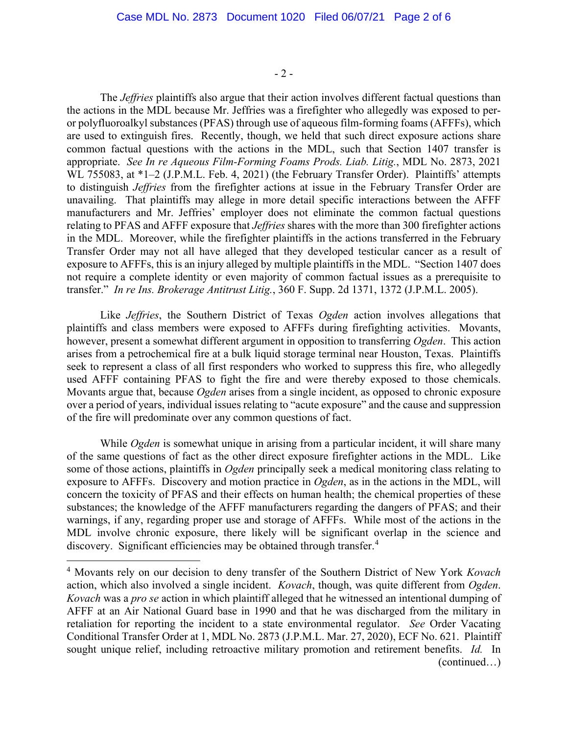$-2-$ 

The *Jeffries* plaintiffs also argue that their action involves different factual questions than the actions in the MDL because Mr. Jeffries was a firefighter who allegedly was exposed to peror polyfluoroalkyl substances (PFAS) through use of aqueous film-forming foams (AFFFs), which are used to extinguish fires. Recently, though, we held that such direct exposure actions share common factual questions with the actions in the MDL, such that Section 1407 transfer is appropriate. *See In re Aqueous Film-Forming Foams Prods. Liab. Litig.*, MDL No. 2873, 2021 WL 755083, at \*1–2 (J.P.M.L. Feb. 4, 2021) (the February Transfer Order). Plaintiffs' attempts to distinguish *Jeffries* from the firefighter actions at issue in the February Transfer Order are unavailing. That plaintiffs may allege in more detail specific interactions between the AFFF manufacturers and Mr. Jeffries' employer does not eliminate the common factual questions relating to PFAS and AFFF exposure that *Jeffries* shares with the more than 300 firefighter actions in the MDL. Moreover, while the firefighter plaintiffs in the actions transferred in the February Transfer Order may not all have alleged that they developed testicular cancer as a result of exposure to AFFFs, this is an injury alleged by multiple plaintiffs in the MDL. "Section 1407 does not require a complete identity or even majority of common factual issues as a prerequisite to transfer." *In re Ins. Brokerage Antitrust Litig.*, 360 F. Supp. 2d 1371, 1372 (J.P.M.L. 2005).

Like *Jeffries*, the Southern District of Texas *Ogden* action involves allegations that plaintiffs and class members were exposed to AFFFs during firefighting activities. Movants, however, present a somewhat different argument in opposition to transferring *Ogden*. This action arises from a petrochemical fire at a bulk liquid storage terminal near Houston, Texas. Plaintiffs seek to represent a class of all first responders who worked to suppress this fire, who allegedly used AFFF containing PFAS to fight the fire and were thereby exposed to those chemicals. Movants argue that, because *Ogden* arises from a single incident, as opposed to chronic exposure over a period of years, individual issues relating to "acute exposure" and the cause and suppression of the fire will predominate over any common questions of fact.

While *Ogden* is somewhat unique in arising from a particular incident, it will share many of the same questions of fact as the other direct exposure firefighter actions in the MDL. Like some of those actions, plaintiffs in *Ogden* principally seek a medical monitoring class relating to exposure to AFFFs. Discovery and motion practice in *Ogden*, as in the actions in the MDL, will concern the toxicity of PFAS and their effects on human health; the chemical properties of these substances; the knowledge of the AFFF manufacturers regarding the dangers of PFAS; and their warnings, if any, regarding proper use and storage of AFFFs. While most of the actions in the MDL involve chronic exposure, there likely will be significant overlap in the science and discovery. Significant efficiencies may be obtained through transfer.<sup>[4](#page-1-0)</sup>

<span id="page-1-0"></span><sup>4</sup> Movants rely on our decision to deny transfer of the Southern District of New York *Kovach* action, which also involved a single incident. *Kovach*, though, was quite different from *Ogden*. *Kovach* was a *pro se* action in which plaintiff alleged that he witnessed an intentional dumping of AFFF at an Air National Guard base in 1990 and that he was discharged from the military in retaliation for reporting the incident to a state environmental regulator. *See* Order Vacating Conditional Transfer Order at 1, MDL No. 2873 (J.P.M.L. Mar. 27, 2020), ECF No. 621. Plaintiff sought unique relief, including retroactive military promotion and retirement benefits. *Id.* In (continued…)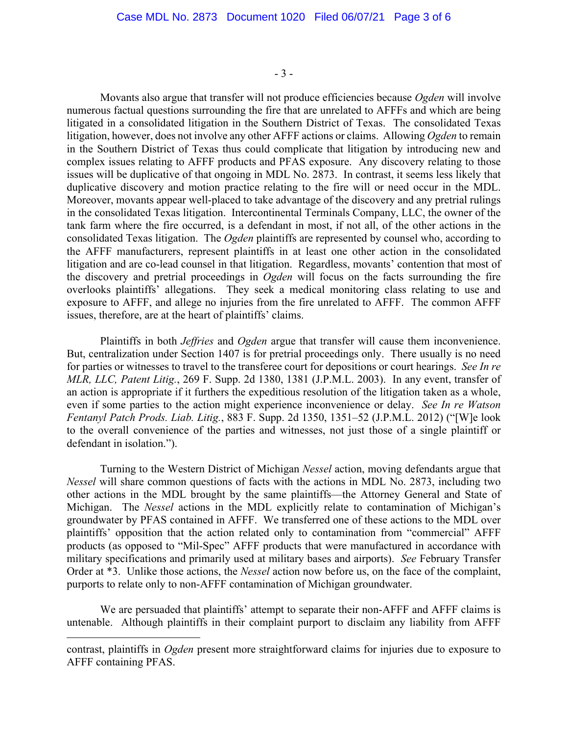- 3 -

Movants also argue that transfer will not produce efficiencies because *Ogden* will involve numerous factual questions surrounding the fire that are unrelated to AFFFs and which are being litigated in a consolidated litigation in the Southern District of Texas. The consolidated Texas litigation, however, does not involve any other AFFF actions or claims. Allowing *Ogden* to remain in the Southern District of Texas thus could complicate that litigation by introducing new and complex issues relating to AFFF products and PFAS exposure. Any discovery relating to those issues will be duplicative of that ongoing in MDL No. 2873. In contrast, it seems less likely that duplicative discovery and motion practice relating to the fire will or need occur in the MDL. Moreover, movants appear well-placed to take advantage of the discovery and any pretrial rulings in the consolidated Texas litigation. Intercontinental Terminals Company, LLC, the owner of the tank farm where the fire occurred, is a defendant in most, if not all, of the other actions in the consolidated Texas litigation. The *Ogden* plaintiffs are represented by counsel who, according to the AFFF manufacturers, represent plaintiffs in at least one other action in the consolidated litigation and are co-lead counsel in that litigation. Regardless, movants' contention that most of the discovery and pretrial proceedings in *Ogden* will focus on the facts surrounding the fire overlooks plaintiffs' allegations. They seek a medical monitoring class relating to use and exposure to AFFF, and allege no injuries from the fire unrelated to AFFF. The common AFFF issues, therefore, are at the heart of plaintiffs' claims.

Plaintiffs in both *Jeffries* and *Ogden* argue that transfer will cause them inconvenience. But, centralization under Section 1407 is for pretrial proceedings only. There usually is no need for parties or witnesses to travel to the transferee court for depositions or court hearings. *See In re MLR, LLC, Patent Litig.*, 269 F. Supp. 2d 1380, 1381 (J.P.M.L. 2003). In any event, transfer of an action is appropriate if it furthers the expeditious resolution of the litigation taken as a whole, even if some parties to the action might experience inconvenience or delay. *See In re Watson Fentanyl Patch Prods. Liab. Litig.*, 883 F. Supp. 2d 1350, 1351–52 (J.P.M.L. 2012) ("[W]e look to the overall convenience of the parties and witnesses, not just those of a single plaintiff or defendant in isolation.").

Turning to the Western District of Michigan *Nessel* action, moving defendants argue that *Nessel* will share common questions of facts with the actions in MDL No. 2873, including two other actions in the MDL brought by the same plaintiffs—the Attorney General and State of Michigan. The *Nessel* actions in the MDL explicitly relate to contamination of Michigan's groundwater by PFAS contained in AFFF. We transferred one of these actions to the MDL over plaintiffs' opposition that the action related only to contamination from "commercial" AFFF products (as opposed to "Mil-Spec" AFFF products that were manufactured in accordance with military specifications and primarily used at military bases and airports). *See* February Transfer Order at \*3. Unlike those actions, the *Nessel* action now before us, on the face of the complaint, purports to relate only to non-AFFF contamination of Michigan groundwater.

We are persuaded that plaintiffs' attempt to separate their non-AFFF and AFFF claims is untenable. Although plaintiffs in their complaint purport to disclaim any liability from AFFF

contrast, plaintiffs in *Ogden* present more straightforward claims for injuries due to exposure to AFFF containing PFAS.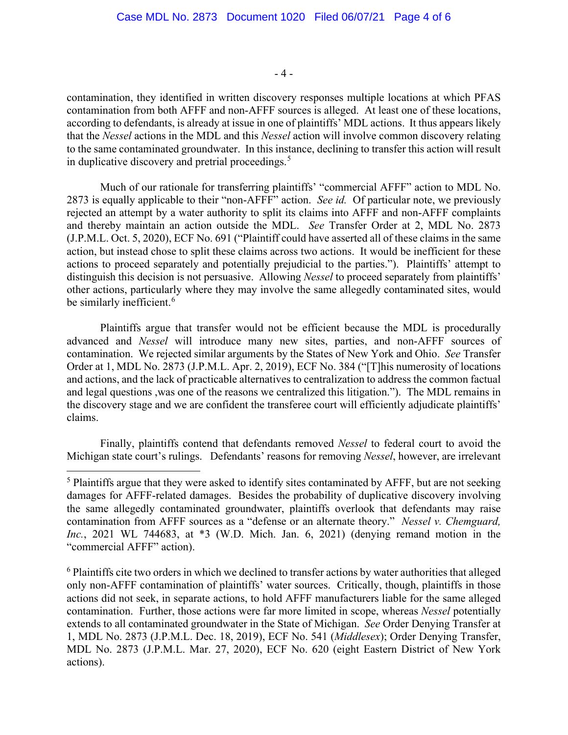- 4 -

contamination, they identified in written discovery responses multiple locations at which PFAS contamination from both AFFF and non-AFFF sources is alleged. At least one of these locations, according to defendants, is already at issue in one of plaintiffs' MDL actions. It thus appears likely that the *Nessel* actions in the MDL and this *Nessel* action will involve common discovery relating to the same contaminated groundwater. In this instance, declining to transfer this action will result in duplicative discovery and pretrial proceedings.<sup>[5](#page-3-0)</sup>

Much of our rationale for transferring plaintiffs' "commercial AFFF" action to MDL No. 2873 is equally applicable to their "non-AFFF" action. *See id.* Of particular note, we previously rejected an attempt by a water authority to split its claims into AFFF and non-AFFF complaints and thereby maintain an action outside the MDL. *See* Transfer Order at 2, MDL No. 2873 (J.P.M.L. Oct. 5, 2020), ECF No. 691 ("Plaintiff could have asserted all of these claims in the same action, but instead chose to split these claims across two actions. It would be inefficient for these actions to proceed separately and potentially prejudicial to the parties."). Plaintiffs' attempt to distinguish this decision is not persuasive. Allowing *Nessel* to proceed separately from plaintiffs' other actions, particularly where they may involve the same allegedly contaminated sites, would be similarly inefficient.<sup>[6](#page-3-1)</sup>

Plaintiffs argue that transfer would not be efficient because the MDL is procedurally advanced and *Nessel* will introduce many new sites, parties, and non-AFFF sources of contamination. We rejected similar arguments by the States of New York and Ohio. *See* Transfer Order at 1, MDL No. 2873 (J.P.M.L. Apr. 2, 2019), ECF No. 384 ("[T]his numerosity of locations and actions, and the lack of practicable alternatives to centralization to address the common factual and legal questions ,was one of the reasons we centralized this litigation."). The MDL remains in the discovery stage and we are confident the transferee court will efficiently adjudicate plaintiffs' claims.

Finally, plaintiffs contend that defendants removed *Nessel* to federal court to avoid the Michigan state court's rulings. Defendants' reasons for removing *Nessel*, however, are irrelevant

<span id="page-3-0"></span><sup>&</sup>lt;sup>5</sup> Plaintiffs argue that they were asked to identify sites contaminated by AFFF, but are not seeking damages for AFFF-related damages. Besides the probability of duplicative discovery involving the same allegedly contaminated groundwater, plaintiffs overlook that defendants may raise contamination from AFFF sources as a "defense or an alternate theory." *Nessel v. Chemguard, Inc.*, 2021 WL 744683, at \*3 (W.D. Mich. Jan. 6, 2021) (denying remand motion in the "commercial AFFF" action).

<span id="page-3-1"></span><sup>&</sup>lt;sup>6</sup> Plaintiffs cite two orders in which we declined to transfer actions by water authorities that alleged only non-AFFF contamination of plaintiffs' water sources. Critically, though, plaintiffs in those actions did not seek, in separate actions, to hold AFFF manufacturers liable for the same alleged contamination. Further, those actions were far more limited in scope, whereas *Nessel* potentially extends to all contaminated groundwater in the State of Michigan. *See* Order Denying Transfer at 1, MDL No. 2873 (J.P.M.L. Dec. 18, 2019), ECF No. 541 (*Middlesex*); Order Denying Transfer, MDL No. 2873 (J.P.M.L. Mar. 27, 2020), ECF No. 620 (eight Eastern District of New York actions).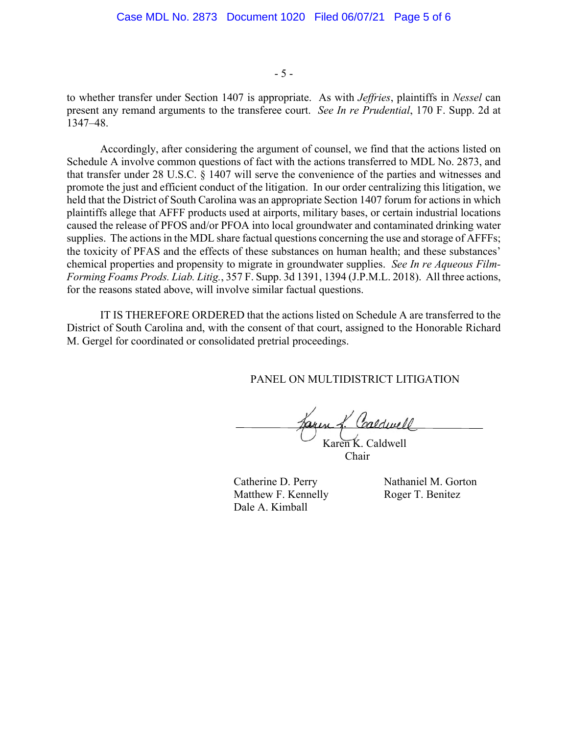- 5 -

to whether transfer under Section 1407 is appropriate. As with *Jeffries*, plaintiffs in *Nessel* can present any remand arguments to the transferee court. *See In re Prudential*, 170 F. Supp. 2d at 1347–48.

Accordingly, after considering the argument of counsel, we find that the actions listed on Schedule A involve common questions of fact with the actions transferred to MDL No. 2873, and that transfer under 28 U.S.C. § 1407 will serve the convenience of the parties and witnesses and promote the just and efficient conduct of the litigation. In our order centralizing this litigation, we held that the District of South Carolina was an appropriate Section 1407 forum for actions in which plaintiffs allege that AFFF products used at airports, military bases, or certain industrial locations caused the release of PFOS and/or PFOA into local groundwater and contaminated drinking water supplies. The actions in the MDL share factual questions concerning the use and storage of AFFFs; the toxicity of PFAS and the effects of these substances on human health; and these substances' chemical properties and propensity to migrate in groundwater supplies. *See In re Aqueous Film-Forming Foams Prods. Liab. Litig.*, 357 F. Supp. 3d 1391, 1394 (J.P.M.L. 2018). All three actions, for the reasons stated above, will involve similar factual questions.

IT IS THEREFORE ORDERED that the actions listed on Schedule A are transferred to the District of South Carolina and, with the consent of that court, assigned to the Honorable Richard M. Gergel for coordinated or consolidated pretrial proceedings.

PANEL ON MULTIDISTRICT LITIGATION

Jaren f. Caldwell Karen K. Caldwell

Chair

Catherine D. Perry Nathaniel M. Gorton Matthew F. Kennelly Roger T. Benitez Dale A. Kimball

Í